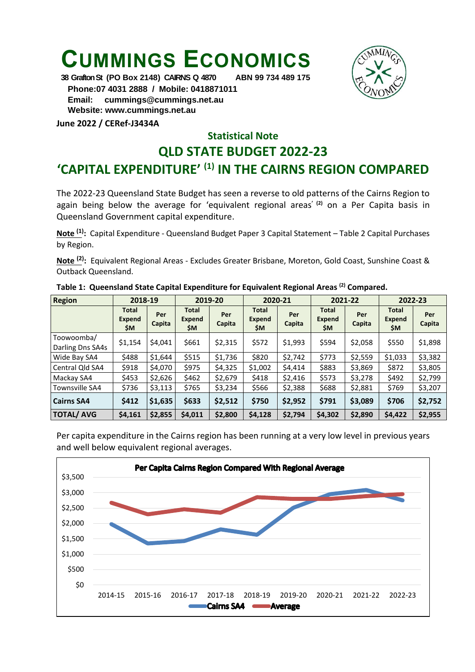## **CUMMINGS ECONOMICS**



**38 Grafton St (PO Box 2148) CAIRNS Q 4870 ABN 99 734 489 175 Phone:07 4031 2888 / Mobile: 0418871011 Email: [cummings@cummings.net.au](mailto:cummings@cummings.net.au) Website: www.cummings.net.au**

**June 2022 / CERef-J3434A**

## **Statistical Note**

## **QLD STATE BUDGET 2022-23**

## **'CAPITAL EXPENDITURE' (1) IN THE CAIRNS REGION COMPARED**

The 2022-23 Queensland State Budget has seen a reverse to old patterns of the Cairns Region to again being below the average for 'equivalent regional areas**' (2)** on a Per Capita basis in Queensland Government capital expenditure.

**Note (1) :** Capital Expenditure - Queensland Budget Paper 3 Capital Statement – Table 2 Capital Purchases by Region.

**Note (2) :** Equivalent Regional Areas - Excludes Greater Brisbane, Moreton, Gold Coast, Sunshine Coast & Outback Queensland.

| <b>Region</b>     | 2018-19                              |               | 2019-20                              |               | 2020-21                       |               | 2021-22                       |               | 2022-23                              |               |
|-------------------|--------------------------------------|---------------|--------------------------------------|---------------|-------------------------------|---------------|-------------------------------|---------------|--------------------------------------|---------------|
|                   | <b>Total</b><br><b>Expend</b><br>\$M | Per<br>Capita | <b>Total</b><br><b>Expend</b><br>\$M | Per<br>Capita | <b>Total</b><br>Expend<br>\$M | Per<br>Capita | <b>Total</b><br>Expend<br>\$M | Per<br>Capita | <b>Total</b><br><b>Expend</b><br>\$M | Per<br>Capita |
| Toowoomba/        | \$1,154                              | \$4.041       | \$661                                | \$2,315       | \$572                         | \$1,993       | \$594                         | \$2,058       | \$550                                | \$1,898       |
| Darling Dns SA4s  |                                      |               |                                      |               |                               |               |                               |               |                                      |               |
| Wide Bay SA4      | \$488                                | \$1,644       | \$515                                | \$1,736       | \$820                         | \$2,742       | \$773                         | \$2,559       | \$1,033                              | \$3,382       |
| Central Qld SA4   | \$918                                | \$4,070       | \$975                                | \$4,325       | \$1,002                       | \$4,414       | \$883                         | \$3,869       | \$872                                | \$3,805       |
| Mackay SA4        | \$453                                | \$2,626       | \$462                                | \$2,679       | \$418                         | \$2,416       | \$573                         | \$3,278       | \$492                                | \$2,799       |
| Townsville SA4    | \$736                                | \$3,113       | \$765                                | \$3,234       | \$566                         | \$2,388       | \$688                         | \$2,881       | \$769                                | \$3,207       |
| <b>Cairns SA4</b> | \$412                                | \$1,635       | \$633                                | \$2,512       | \$750                         | \$2,952       | \$791                         | \$3,089       | \$706                                | \$2,752       |
| <b>TOTAL/ AVG</b> | \$4,161                              | \$2,855       | \$4,011                              | \$2,800       | \$4,128                       | \$2,794       | \$4,302                       | \$2,890       | \$4,422                              | \$2,955       |

**Table 1: Queensland State Capital Expenditure for Equivalent Regional Areas (2) Compared.**

Per capita expenditure in the Cairns region has been running at a very low level in previous years and well below equivalent regional averages.